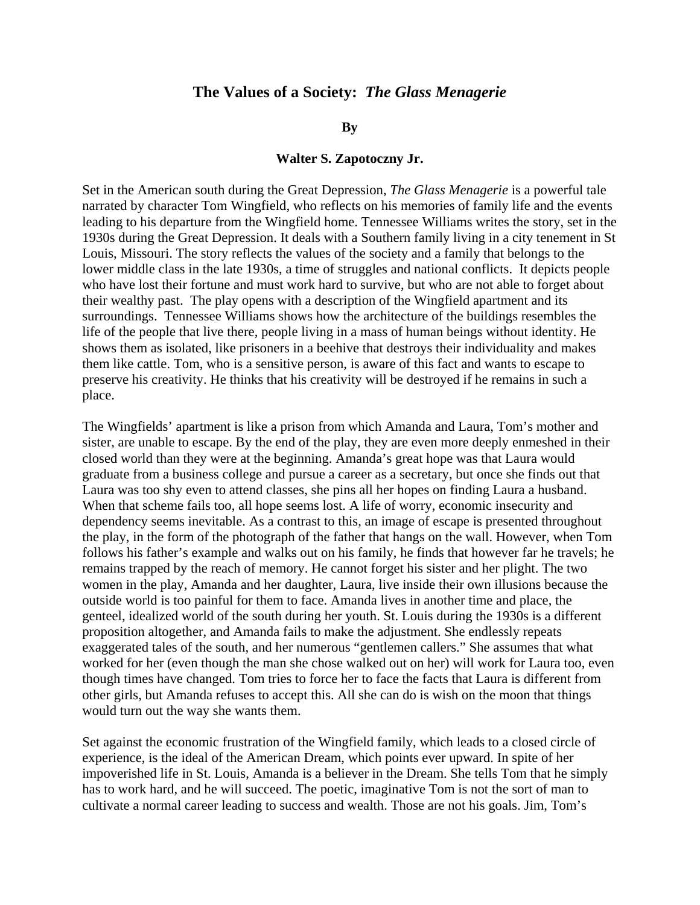## **The Values of a Society:** *The Glass Menagerie*

## **By**

## **Walter S. Zapotoczny Jr.**

Set in the American south during the Great Depression, *The Glass Menagerie* is a powerful tale narrated by character Tom Wingfield, who reflects on his memories of family life and the events leading to his departure from the Wingfield home. Tennessee Williams writes the story, set in the 1930s during the Great Depression. It deals with a Southern family living in a city tenement in St Louis, Missouri. The story reflects the values of the society and a family that belongs to the lower middle class in the late 1930s, a time of struggles and national conflicts. It depicts people who have lost their fortune and must work hard to survive, but who are not able to forget about their wealthy past. The play opens with a description of the Wingfield apartment and its surroundings. Tennessee Williams shows how the architecture of the buildings resembles the life of the people that live there, people living in a mass of human beings without identity. He shows them as isolated, like prisoners in a beehive that destroys their individuality and makes them like cattle. Tom, who is a sensitive person, is aware of this fact and wants to escape to preserve his creativity. He thinks that his creativity will be destroyed if he remains in such a place.

The Wingfields' apartment is like a prison from which Amanda and Laura, Tom's mother and sister, are unable to escape. By the end of the play, they are even more deeply enmeshed in their closed world than they were at the beginning. Amanda's great hope was that Laura would graduate from a business college and pursue a career as a secretary, but once she finds out that Laura was too shy even to attend classes, she pins all her hopes on finding Laura a husband. When that scheme fails too, all hope seems lost. A life of worry, economic insecurity and dependency seems inevitable. As a contrast to this, an image of escape is presented throughout the play, in the form of the photograph of the father that hangs on the wall. However, when Tom follows his father's example and walks out on his family, he finds that however far he travels; he remains trapped by the reach of memory. He cannot forget his sister and her plight. The two women in the play, Amanda and her daughter, Laura, live inside their own illusions because the outside world is too painful for them to face. Amanda lives in another time and place, the genteel, idealized world of the south during her youth. St. Louis during the 1930s is a different proposition altogether, and Amanda fails to make the adjustment. She endlessly repeats exaggerated tales of the south, and her numerous "gentlemen callers." She assumes that what worked for her (even though the man she chose walked out on her) will work for Laura too, even though times have changed. Tom tries to force her to face the facts that Laura is different from other girls, but Amanda refuses to accept this. All she can do is wish on the moon that things would turn out the way she wants them.

Set against the economic frustration of the Wingfield family, which leads to a closed circle of experience, is the ideal of the American Dream, which points ever upward. In spite of her impoverished life in St. Louis, Amanda is a believer in the Dream. She tells Tom that he simply has to work hard, and he will succeed. The poetic, imaginative Tom is not the sort of man to cultivate a normal career leading to success and wealth. Those are not his goals. Jim, Tom's